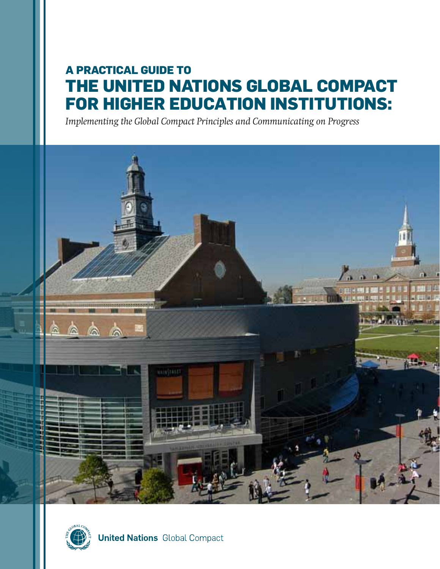# **A Practical Guide to the United Nations Global Compact for Higher Education Institutions:**

*Implementing the Global Compact Principles and Communicating on Progress*





**United Nations** Global Compact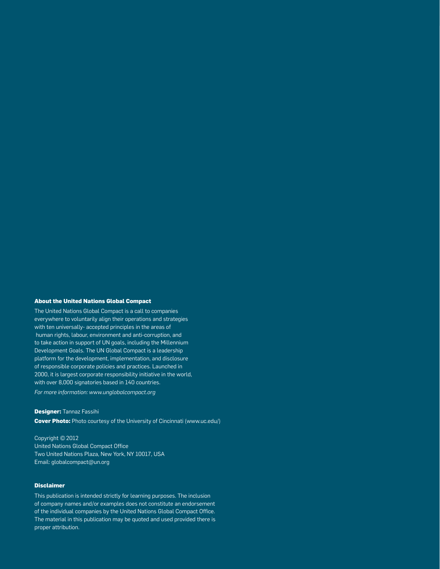#### **About the United Nations Global Compact**

The United Nations Global Compact is a call to companies everywhere to voluntarily align their operations and strategies with ten universally- accepted principles in the areas of human rights, labour, environment and anti-corruption, and to take action in support of UN goals, including the Millennium Development Goals. The UN Global Compact is a leadership platform for the development, implementation, and disclosure of responsible corporate policies and practices. Launched in 2000, it is largest corporate responsibility initiative in the world, with over 8,000 signatories based in 140 countries.

*For more information: www.unglobalcompact.org*

**Designer:** Tannaz Fassihi **Cover Photo:** Photo courtesy of the University of Cincinnati (www.uc.edu/)

Copyright ©2012 United Nations Global Compact Office Two United Nations Plaza, New York, NY 10017, USA Email: globalcompact@un.org

### **Disclaimer**

This publication is intended strictly for learning purposes. The inclusion of company names and/or examples does not constitute an endorsement of the individual companies by the United Nations Global Compact Office. The material in this publication may be quoted and used provided there is proper attribution.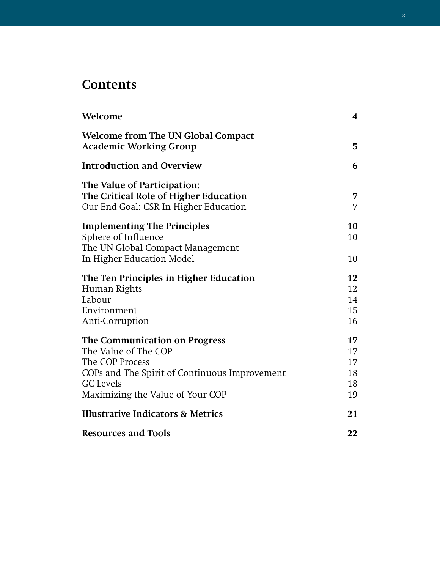# **Contents**

| Welcome                                                                                                                                                                           | 4                                |
|-----------------------------------------------------------------------------------------------------------------------------------------------------------------------------------|----------------------------------|
| <b>Welcome from The UN Global Compact</b><br><b>Academic Working Group</b>                                                                                                        | 5                                |
| <b>Introduction and Overview</b>                                                                                                                                                  | 6                                |
| The Value of Participation:<br>The Critical Role of Higher Education<br>Our End Goal: CSR In Higher Education                                                                     | 7<br>7                           |
| <b>Implementing The Principles</b><br>Sphere of Influence<br>The UN Global Compact Management<br>In Higher Education Model                                                        | 10<br>10<br>10                   |
| The Ten Principles in Higher Education<br>Human Rights<br>Labour<br>Environment<br>Anti-Corruption                                                                                | 12<br>12<br>14<br>15<br>16       |
| The Communication on Progress<br>The Value of The COP<br>The COP Process<br>COPs and The Spirit of Continuous Improvement<br><b>GC</b> Levels<br>Maximizing the Value of Your COP | 17<br>17<br>17<br>18<br>18<br>19 |
| <b>Illustrative Indicators &amp; Metrics</b>                                                                                                                                      | 21                               |
| <b>Resources and Tools</b>                                                                                                                                                        | 22                               |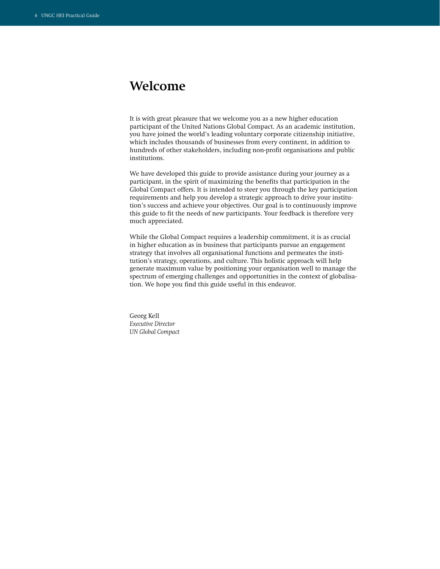# **Welcome**

It is with great pleasure that we welcome you as a new higher education participant of the United Nations Global Compact. As an academic institution, you have joined the world's leading voluntary corporate citizenship initiative, which includes thousands of businesses from every continent, in addition to hundreds of other stakeholders, including non-profit organisations and public institutions.

We have developed this guide to provide assistance during your journey as a participant, in the spirit of maximizing the benefits that participation in the Global Compact offers. It is intended to steer you through the key participation requirements and help you develop a strategic approach to drive your institution's success and achieve your objectives. Our goal is to continuously improve this guide to fit the needs of new participants. Your feedback is therefore very much appreciated.

While the Global Compact requires a leadership commitment, it is as crucial in higher education as in business that participants pursue an engagement strategy that involves all organisational functions and permeates the institution's strategy, operations, and culture. This holistic approach will help generate maximum value by positioning your organisation well to manage the spectrum of emerging challenges and opportunities in the context of globalisation. We hope you find this guide useful in this endeavor.

Georg Kell *Executive Director UN Global Compact*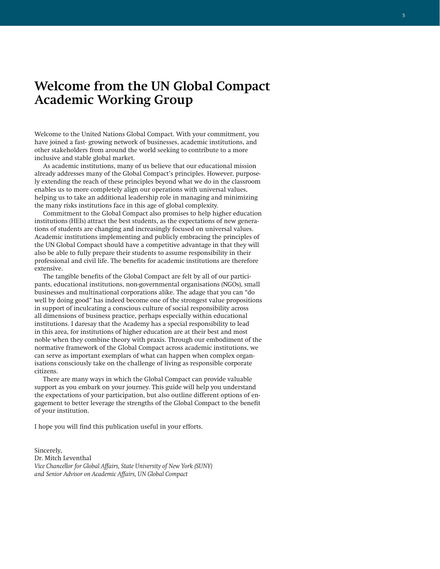# **Welcome from the UN Global Compact Academic Working Group**

Welcome to the United Nations Global Compact. With your commitment, you have joined a fast- growing network of businesses, academic institutions, and other stakeholders from around the world seeking to contribute to a more inclusive and stable global market.

As academic institutions, many of us believe that our educational mission already addresses many of the Global Compact's principles. However, purposely extending the reach of these principles beyond what we do in the classroom enables us to more completely align our operations with universal values, helping us to take an additional leadership role in managing and minimizing the many risks institutions face in this age of global complexity.

Commitment to the Global Compact also promises to help higher education institutions (HEIs) attract the best students, as the expectations of new generations of students are changing and increasingly focused on universal values. Academic institutions implementing and publicly embracing the principles of the UN Global Compact should have a competitive advantage in that they will also be able to fully prepare their students to assume responsibility in their professional and civil life. The benefits for academic institutions are therefore extensive.

The tangible benefits of the Global Compact are felt by all of our participants, educational institutions, non-governmental organisations (NGOs), small businesses and multinational corporations alike. The adage that you can "do well by doing good" has indeed become one of the strongest value propositions in support of inculcating a conscious culture of social responsibility across all dimensions of business practice, perhaps especially within educational institutions. I daresay that the Academy has a special responsibility to lead in this area, for institutions of higher education are at their best and most noble when they combine theory with praxis. Through our embodiment of the normative framework of the Global Compact across academic institutions, we can serve as important exemplars of what can happen when complex organisations consciously take on the challenge of living as responsible corporate citizens.

There are many ways in which the Global Compact can provide valuable support as you embark on your journey. This guide will help you understand the expectations of your participation, but also outline different options of engagement to better leverage the strengths of the Global Compact to the benefit of your institution.

I hope you will find this publication useful in your efforts.

Sincerely, Dr. Mitch Leventhal *Vice Chancellor for Global Affairs, State University of New York (SUNY) and Senior Advisor on Academic Affairs, UN Global Compact*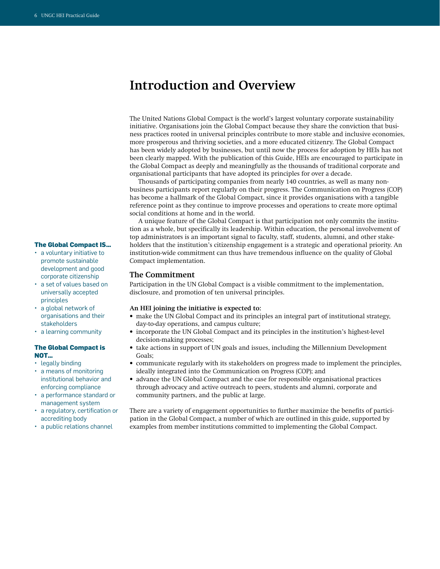# **Introduction and Overview**

The United Nations Global Compact is the world's largest voluntary corporate sustainability initiative. Organisations join the Global Compact because they share the conviction that business practices rooted in universal principles contribute to more stable and inclusive economies, more prosperous and thriving societies, and a more educated citizenry. The Global Compact has been widely adopted by businesses, but until now the process for adoption by HEIs has not been clearly mapped. With the publication of this Guide, HEIs are encouraged to participate in the Global Compact as deeply and meaningfully as the thousands of traditional corporate and organisational participants that have adopted its principles for over a decade.

Thousands of participating companies from nearly 140 countries, as well as many nonbusiness participants report regularly on their progress. The Communication on Progress (COP) has become a hallmark of the Global Compact, since it provides organisations with a tangible reference point as they continue to improve processes and operations to create more optimal social conditions at home and in the world.

A unique feature of the Global Compact is that participation not only commits the institution as a whole, but specifically its leadership. Within education, the personal involvement of top administrators is an important signal to faculty, staff, students, alumni, and other stakeholders that the institution's citizenship engagement is a strategic and operational priority. An institution-wide commitment can thus have tremendous influence on the quality of Global Compact implementation.

#### **The Commitment**

Participation in the UN Global Compact is a visible commitment to the implementation, disclosure, and promotion of ten universal principles.

#### **An HEI joining the initiative is expected to:**

- make the UN Global Compact and its principles an integral part of institutional strategy, day-to-day operations, and campus culture;
- incorporate the UN Global Compact and its principles in the institution's highest-level decision-making processes;
- take actions in support of UN goals and issues, including the Millennium Development Goals;
- communicate regularly with its stakeholders on progress made to implement the principles, ideally integrated into the Communication on Progress (COP); and
- advance the UN Global Compact and the case for responsible organisational practices through advocacy and active outreach to peers, students and alumni, corporate and community partners, and the public at large.

There are a variety of engagement opportunities to further maximize the benefits of participation in the Global Compact, a number of which are outlined in this guide, supported by examples from member institutions committed to implementing the Global Compact.

#### **The Global Compact IS…**

- a voluntary initiative to promote sustainable development and good corporate citizenship
- • a set of values based on universally accepted principles
- a global network of organisations and their stakeholders
- a learning community

#### **The Global Compact is NOT…**

- legally binding
- • a means of monitoring institutional behavior and enforcing compliance
- a performance standard or management system
- a regulatory, certification or accrediting body
- a public relations channel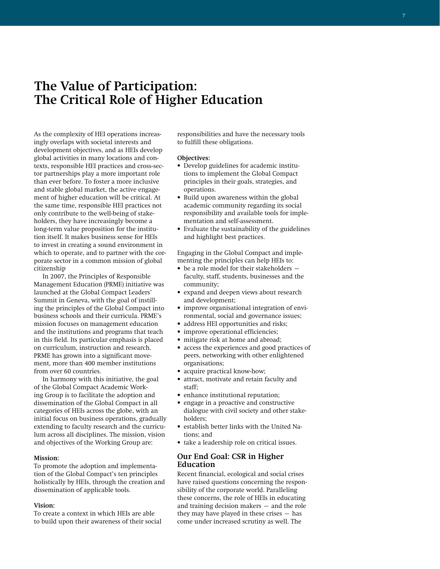# **The Value of Participation: The Critical Role of Higher Education**

As the complexity of HEI operations increasingly overlaps with societal interests and development objectives, and as HEIs develop global activities in many locations and contexts, responsible HEI practices and cross-sector partnerships play a more important role than ever before. To foster a more inclusive and stable global market, the active engagement of higher education will be critical. At the same time, responsible HEI practices not only contribute to the well-being of stakeholders, they have increasingly become a long-term value proposition for the institution itself. It makes business sense for HEIs to invest in creating a sound environment in which to operate, and to partner with the corporate sector in a common mission of global citizenship

In 2007, the Principles of Responsible Management Education (PRME) initiative was launched at the Global Compact Leaders' Summit in Geneva, with the goal of instilling the principles of the Global Compact into business schools and their curricula. PRME's mission focuses on management education and the institutions and programs that teach in this field. Its particular emphasis is placed on curriculum, instruction and research. PRME has grown into a significant movement, more than 400 member institutions from over 60 countries.

In harmony with this initiative, the goal of the Global Compact Academic Working Group is to facilitate the adoption and dissemination of the Global Compact in all categories of HEIs across the globe, with an initial focus on business operations, gradually extending to faculty research and the curriculum across all disciplines. The mission, vision and objectives of the Working Group are:

#### **Mission:**

To promote the adoption and implementation of the Global Compact's ten principles holistically by HEIs, through the creation and dissemination of applicable tools.

#### **Vision:**

To create a context in which HEIs are able to build upon their awareness of their social responsibilities and have the necessary tools to fulfill these obligations.

#### **Objectives:**

- Develop guidelines for academic institutions to implement the Global Compact principles in their goals, strategies, and operations.
- Build upon awareness within the global academic community regarding its social responsibility and available tools for implementation and self-assessment.
- Evaluate the sustainability of the guidelines and highlight best practices.

Engaging in the Global Compact and implementing the principles can help HEIs to:

- be a role model for their stakeholders faculty, staff, students, businesses and the community;
- expand and deepen views about research and development;
- improve organisational integration of environmental, social and governance issues;
- address HEI opportunities and risks;
- improve operational efficiencies;
- mitigate risk at home and abroad;
- access the experiences and good practices of peers, networking with other enlightened organisations;
- acquire practical know-how;
- attract, motivate and retain faculty and staff;
- enhance institutional reputation;
- engage in a proactive and constructive dialogue with civil society and other stakeholders;
- establish better links with the United Nations; and
- take a leadership role on critical issues.

### **Our End Goal: CSR in Higher Education**

Recent financial, ecological and social crises have raised questions concerning the responsibility of the corporate world. Paralleling these concerns, the role of HEIs in educating and training decision makers – and the role they may have played in these crises  $-$  has come under increased scrutiny as well. The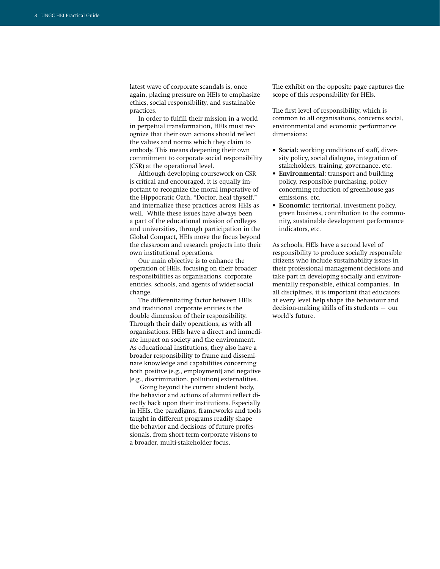latest wave of corporate scandals is, once again, placing pressure on HEIs to emphasize ethics, social responsibility, and sustainable practices.

In order to fulfill their mission in a world in perpetual transformation, HEIs must recognize that their own actions should reflect the values and norms which they claim to embody. This means deepening their own commitment to corporate social responsibility (CSR) at the operational level.

Although developing coursework on CSR is critical and encouraged, it is equally important to recognize the moral imperative of the Hippocratic Oath, "Doctor, heal thyself," and internalize these practices across HEIs as well. While these issues have always been a part of the educational mission of colleges and universities, through participation in the Global Compact, HEIs move the focus beyond the classroom and research projects into their own institutional operations.

Our main objective is to enhance the operation of HEIs, focusing on their broader responsibilities as organisations, corporate entities, schools, and agents of wider social change.

The differentiating factor between HEIs and traditional corporate entities is the double dimension of their responsibility. Through their daily operations, as with all organisations, HEIs have a direct and immediate impact on society and the environment. As educational institutions, they also have a broader responsibility to frame and disseminate knowledge and capabilities concerning both positive (e.g., employment) and negative (e.g., discrimination, pollution) externalities.

 Going beyond the current student body, the behavior and actions of alumni reflect directly back upon their institutions. Especially in HEIs, the paradigms, frameworks and tools taught in different programs readily shape the behavior and decisions of future professionals, from short-term corporate visions to a broader, multi-stakeholder focus.

The exhibit on the opposite page captures the scope of this responsibility for HEIs.

The first level of responsibility, which is common to all organisations, concerns social, environmental and economic performance dimensions:

- **• Social:** working conditions of staff, diversity policy, social dialogue, integration of stakeholders, training, governance, etc.
- **• Environmental:** transport and building policy, responsible purchasing, policy concerning reduction of greenhouse gas emissions, etc.
- **• Economic:** territorial, investment policy, green business, contribution to the community, sustainable development performance indicators, etc.

As schools, HEIs have a second level of responsibility to produce socially responsible citizens who include sustainability issues in their professional management decisions and take part in developing socially and environmentally responsible, ethical companies. In all disciplines, it is important that educators at every level help shape the behaviour and decision-making skills of its students – our world's future.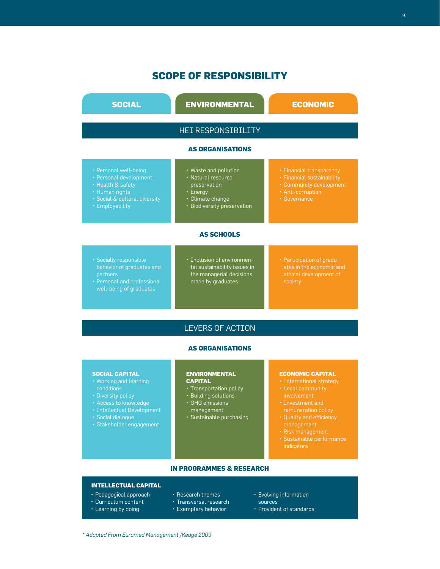# **Scope of Responsibility**

| <b>SOCIAL</b>                                                                                                                              | <b>ENVIRONMENTAL</b>                                                                                                       | <b>ECONOMIC</b>                                                                                                        |  |
|--------------------------------------------------------------------------------------------------------------------------------------------|----------------------------------------------------------------------------------------------------------------------------|------------------------------------------------------------------------------------------------------------------------|--|
| <b>HEI RESPONSIBILITY</b>                                                                                                                  |                                                                                                                            |                                                                                                                        |  |
| <b>AS ORGANISATIONS</b>                                                                                                                    |                                                                                                                            |                                                                                                                        |  |
| • Personal well-being<br>• Personal development<br>• Health & safety<br>• Human rights<br>· Social & cultural diversity<br>• Employability | • Waste and pollution<br>• Natural resource<br>preservation<br>• Energy<br>· Climate change<br>· Biodiversity preservation | • Financial transparency<br>• Financial sustainability<br>• Community development<br>• Anti-corruption<br>• Governance |  |
| <b>AS SCHOOLS</b>                                                                                                                          |                                                                                                                            |                                                                                                                        |  |
| · Socially responsible<br>behavior of graduates and<br>partners<br>• Personal and professional<br>well-being of graduates                  | · Inclusion of environmen-<br>tal sustainability issues in<br>the managerial decisions<br>made by graduates                | • Participation of gradu-<br>ates in the economic and<br>ethical development of<br>society                             |  |

## LEVERS OF ACTION

## **AS ORGANISATIONS**

#### **SOCIAL CAPITAL**

- • Working and learning
- 
- 
- 
- • Social dialogue
- • Stakeholder engagement

#### **ENVIRONMENTAL CAPITAL**

- Transportation policy
- Building solutions
- • GHG emissions management
- • Sustainable purchasing

## **ECONOMIC CAPITAL**

- International strategy
- • Local community
- 
- management
- • Risk management
- indicators

### **IN PROGRAMMES & RESEARCH**

## **Intellectual Capital**

- • Pedagogical approach
- Curriculum content
- Learning by doing
- Research themes
- Transversal research
- Exemplary behavior
- Evolving information
- sources
- Provident of standards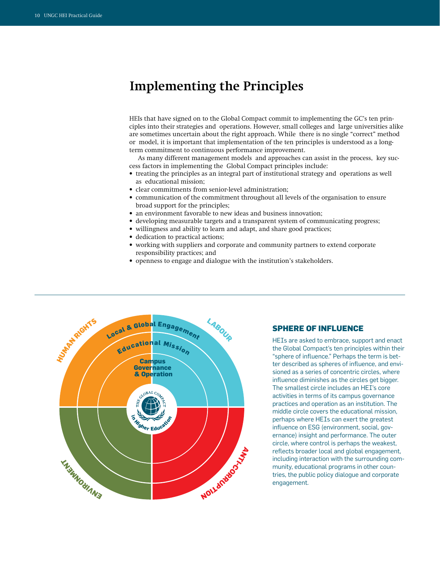# **Implementing the Principles**

HEIs that have signed on to the Global Compact commit to implementing the GC's ten principles into their strategies and operations. However, small colleges and large universities alike are sometimes uncertain about the right approach. While there is no single "correct" method or model, it is important that implementation of the ten principles is understood as a longterm commitment to continuous performance improvement.

As many different management models and approaches can assist in the process, key success factors in implementing the Global Compact principles include:

- treating the principles as an integral part of institutional strategy and operations as well as educational mission;
- clear commitments from senior-level administration;
- communication of the commitment throughout all levels of the organisation to ensure broad support for the principles;
- an environment favorable to new ideas and business innovation;
- developing measurable targets and a transparent system of communicating progress;
- willingness and ability to learn and adapt, and share good practices;
- dedication to practical actions;
- working with suppliers and corporate and community partners to extend corporate responsibility practices; and
- openness to engage and dialogue with the institution's stakeholders.



## **Sphere of Influence**

HEIs are asked to embrace, support and enact the Global Compact's ten principles within their "sphere of influence." Perhaps the term is better described as spheres of influence, and envisioned as a series of concentric circles, where influence diminishes as the circles get bigger. The smallest circle includes an HEI's core activities in terms of its campus governance practices and operation as an institution. The middle circle covers the educational mission, perhaps where HEIs can exert the greatest influence on ESG (environment, social, governance) insight and performance. The outer circle, where control is perhaps the weakest, reflects broader local and global engagement, including interaction with the surrounding community, educational programs in other countries, the public policy dialogue and corporate engagement.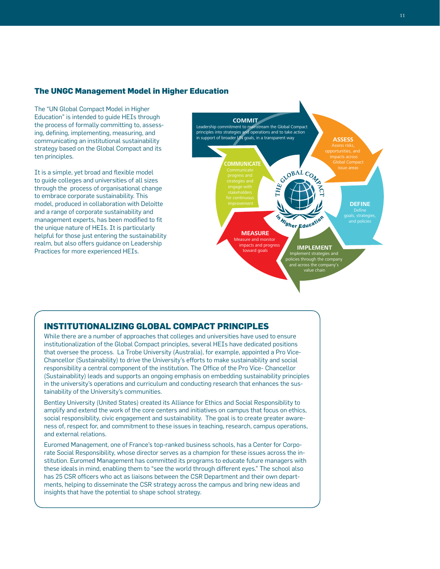## **The UNGC Management Model in Higher Education**

The "UN Global Compact Model in Higher Education" is intended to guide HEIs through the process of formally committing to, assessing, defining, implementing, measuring, and communicating an institutional sustainability strategy based on the Global Compact and its ten principles.

It is a simple, yet broad and flexible model to guide colleges and universities of all sizes through the process of organisational change to embrace corporate sustainability. This model, produced in collaboration with Deloitte and a range of corporate sustainability and management experts, has been modified to fit the unique nature of HEIs. It is particularly helpful for those just entering the sustainability realm, but also offers guidance on Leadership Practices for more experienced HEIs.



## **Institutionalizing Global Compact Principles**

While there are a number of approaches that colleges and universities have used to ensure institutionalization of the Global Compact principles, several HEIs have dedicated positions that oversee the process. La Trobe University (Australia), for example, appointed a Pro Vice-Chancellor (Sustainability) to drive the University's efforts to make sustainability and social responsibility a central component of the institution. The Office of the Pro Vice- Chancellor (Sustainability) leads and supports an ongoing emphasis on embedding sustainability principles in the university's operations and curriculum and conducting research that enhances the sustainability of the University's communities.

Bentley University (United States) created its Alliance for Ethics and Social Responsibility to amplify and extend the work of the core centers and initiatives on campus that focus on ethics, social responsibility, civic engagement and sustainability. The goal is to create greater awareness of, respect for, and commitment to these issues in teaching, research, campus operations, and external relations.

Euromed Management, one of France's top-ranked business schools, has a Center for Corporate Social Responsibility, whose director serves as a champion for these issues across the institution. Euromed Management has committed its programs to educate future managers with these ideals in mind, enabling them to "see the world through different eyes." The school also has 25 CSR officers who act as liaisons between the CSR Department and their own departments, helping to disseminate the CSR strategy across the campus and bring new ideas and insights that have the potential to shape school strategy.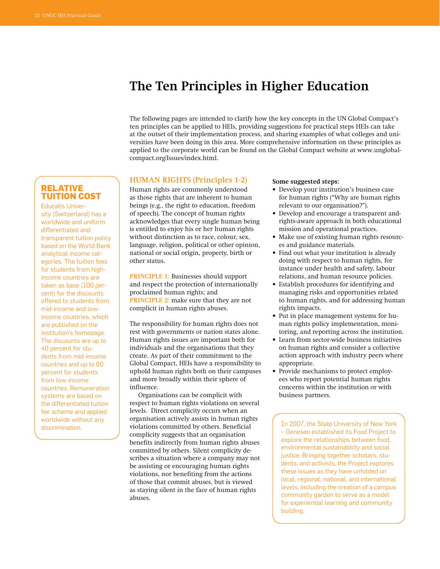# **The Ten Principles in Higher Education**

The following pages are intended to clarify how the key concepts in the UN Global Compact's ten principles can be applied to HEIs, providing suggestions for practical steps HEIs can take at the outset of their implementation process, and sharing examples of what colleges and universities have been doing in this area. More comprehensive information on these principles as applied to the corporate world can be found on the Global Compact website at www.unglobalcompact.org/Issues/index.html.

## **Relative Tuition Cost**

Educatis University (Switzerland) has a worldwide and uniform differentiated and transparent tuition policy based on the World Bank analytical income categories. The tuition fees for students from highincome countries are taken as base (100 percent) for the discounts offered to students from mid-income and lowincome countries, which are published on the institution's homepage. The discounts are up to 40 percent for students from mid-income countries and up to 60 percent for students from low-income countries. Remuneration systems are based on the differentiated tuition fee scheme and applied worldwide without any

### **HUMAN RIGHTS** (Principles 1-2)

Human rights are commonly understood as those rights that are inherent to human beings (e.g., the right to education, freedom of speech). The concept of human rights acknowledges that every single human being is entitled to enjoy his or her human rights without distinction as to race, colour, sex, language, religion, political or other opinion, national or social origin, property, birth or other status.

**PRiNCiPLE 1:** Businesses should support and respect the protection of internationally proclaimed human rights; and **PRINCIPLE 2:** make sure that they are not complicit in human rights abuses.

The responsibility for human rights does not rest with governments or nation states alone. Human rights issues are important both for individuals and the organisations that they create. As part of their commitment to the Global Compact, HEIs have a responsibility to uphold human rights both on their campuses and more broadly within their sphere of influence.

discrimination. In 2007, the State University of New York violations committed by others. Beneficial Organisations can be complicit with respect to human rights violations on several levels. Direct complicity occurs when an organisation actively assists in human rights complicity suggests that an organisation benefits indirectly from human rights abuses committed by others. Silent complicity describes a situation where a company may not be assisting or encouraging human rights violations, nor benefiting from the actions of those that commit abuses, but is viewed as staying silent in the face of human rights abuses.

#### **Some suggested steps:**

- Develop your institution's business case for human rights ("Why are human rights relevant to our organisation?").
- Develop and encourage a transparent andrights-aware approach in both educational mission and operational practices.
- Make use of existing human rights resources and guidance materials.
- Find out what your institution is already doing with respect to human rights, for instance under health and safety, labour relations, and human resource policies.
- Establish procedures for identifying and managing risks and opportunities related to human rights, and for addressing human rights impacts.
- Put in place management systems for human rights policy implementation, monitoring, and reporting across the institution.
- Learn from sector-wide business initiatives on human rights and consider a collective action approach with industry peers where appropriate.
- Provide mechanisms to protect employees who report potential human rights concerns within the institution or with business partners.

– Geneseo established its Food Project to explore the relationships between food, environmental sustainability and social justice. Bringing together scholars, students, and activists, the Project explores these issues as they have unfolded on local, regional, national, and international levels, including the creation of a campus community garden to serve as a model for experiential learning and community building.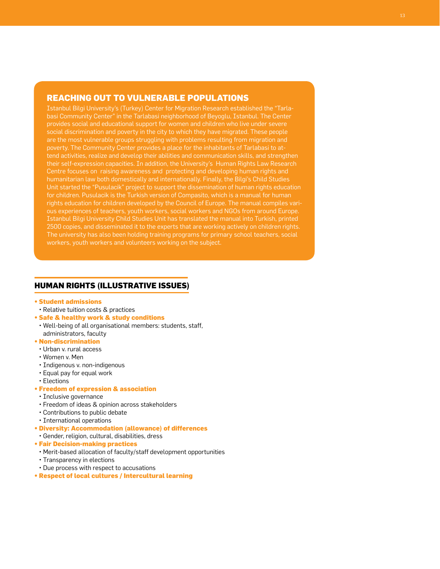## **Reaching Out to Vulnerable Populations**

Istanbul Bilgi University's (Turkey) Center for Migration Research established the "Tarlabasi Community Center" in the Tarlabasi neighborhood of Beyoglu, Istanbul. The Center provides social and educational support for women and children who live under severe social discrimination and poverty in the city to which they have migrated. These people are the most vulnerable groups struggling with problems resulting from migration and poverty. The Community Center provides a place for the inhabitants of Tarlabasi to attend activities, realize and develop their abilities and communication skills, and strengthen their self-expression capacities. In addition, the University's Human Rights Law Research Centre focuses on raising awareness and protecting and developing human rights and humanitarian law both domestically and internationally. Finally, the Bilgi's Child Studies Unit started the "Pusulacik" project to support the dissemination of human rights education for children. Pusulacik is the Turkish version of Compasito, which is a manual for human rights education for children developed by the Council of Europe. The manual compiles various experiences of teachers, youth workers, social workers and NGOs from around Europe. Istanbul Bilgi University Child Studies Unit has translated the manual into Turkish, printed 2500 copies, and disseminated it to the experts that are working actively on children rights. The university has also been holding training programs for primary school teachers, social workers, youth workers and volunteers working on the subject.

## **Human Rights (Illustrative Issues)**

- **Student admissions**
- Relative tuition costs & practices
- **Safe & healthy work & study conditions**
- Well-being of all organisational members: students, staff, administrators, faculty
- **Non-discrimination**
- Urban v. rural access
- Women v. Men
- Indigenous v. non-indigenous
- Equal pay for equal work
- Elections

#### **• Freedom of expression & association**

- Inclusive governance
- Freedom of ideas & opinion across stakeholders
- Contributions to public debate
- International operations
- **Diversity: Accommodation (allowance) of differences**
- Gender, religion, cultural, disabilities, dress
- **Fair Decision-making practices**
- Merit-based allocation of faculty/staff development opportunities
- Transparency in elections
- Due process with respect to accusations
- **Respect of local cultures / Intercultural learning**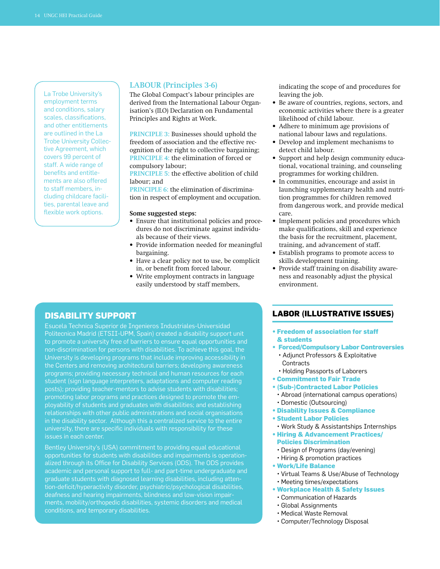La Trobe University's employment terms and conditions, salary scales, classifications, and other entitlements are outlined in the La Trobe University Collective Agreement, which covers 99 percent of staff. A wide range of benefits and entitlements are also offered to staff members, including childcare facilities, parental leave and flexible work options.

#### **LABoUR (Principles 3-6)**

The Global Compact's labour principles are derived from the International Labour Organisation's (ILO) Declaration on Fundamental Principles and Rights at Work.

**PRiNCiPLE 3:** Businesses should uphold the freedom of association and the effective recognition of the right to collective bargaining; **PRiNCiPLE 4:** the elimination of forced or compulsory labour;

**PRiNCiPLE 5:** the effective abolition of child labour; and

**PRiNCiPLE 6:** the elimination of discrimination in respect of employment and occupation.

#### **Some suggested steps:**

- Ensure that institutional policies and procedures do not discriminate against individuals because of their views.
- Provide information needed for meaningful bargaining.
- Have a clear policy not to use, be complicit in, or benefit from forced labour.
- Write employment contracts in language easily understood by staff members,

indicating the scope of and procedures for leaving the job.

- Be aware of countries, regions, sectors, and economic activities where there is a greater likelihood of child labour.
- Adhere to minimum age provisions of national labour laws and regulations.
- Develop and implement mechanisms to detect child labour.
- Support and help design community educational, vocational training, and counseling programmes for working children.
- In communities, encourage and assist in launching supplementary health and nutrition programmes for children removed from dangerous work, and provide medical care.
- Implement policies and procedures which make qualifications, skill and experience the basis for the recruitment, placement, training, and advancement of staff.
- Establish programs to promote access to skills development training.
- Provide staff training on disability awareness and reasonably adjust the physical environment.

## **Disability Support**

Esucela Technica Superior de Ingenieros Industriales-Universidad Politecnica Madrid (ETSII-UPM, Spain) created a disability support unit to promote a university free of barriers to ensure equal opportunities and non-discrimination for persons with disabilities. To achieve this goal, the University is developing programs that include improving accessibility in the Centers and removing architectural barriers; developing awareness programs; providing necessary technical and human resources for each student (sign language interpreters, adaptations and computer reading posts); providing teacher-mentors to advise students with disabilities; promoting labor programs and practices designed to promote the employability of students and graduates with disabilities; and establishing relationships with other public administrations and social organisations in the disability sector. Although this a centralized service to the entire university, there are specific individuals with responsibility for these issues in each center.

Bentley University's (USA) commitment to providing equal educational opportunities for students with disabilities and impairments is operationalized through its Office for Disability Services (ODS). The ODS provides academic and personal support to full- and part-time undergraduate and graduate students with diagnosed learning disabilities, including attention-deficit/hyperactivity disorder, psychiatric/psychological disabilities, deafness and hearing impairments, blindness and low-vision impairments, mobility/orthopedic disabilities, systemic disorders and medical conditions, and temporary disabilities.

## **Labor (Illustrative Issues)**

- **Freedom of association for staff & students**
- **Forced/Compulsory Labor Controversies**
- Adjunct Professors & Exploitative Contracts
- Holding Passports of Laborers
- **Commitment to Fair Trade**
- **(Sub-)Contracted Labor Policies**
- Abroad (international campus operations) • Domestic (Outsourcing)
- **Disability Issues & Compliance**
- **Student Labor Policies**
- Work Study & Assistantships Internships
- **Hiring & Advancement Practices/ Policies Discrimination**
- Design of Programs (day/evening)
- Hiring & promotion practices
- **Work/Life Balance**
- Virtual Teams & Use/Abuse of Technology
- Meeting times/expectations
- **Workplace Health & Safety Issues**
- Communication of Hazards
- Global Assignments
- Medical Waste Removal
- Computer/Technology Disposal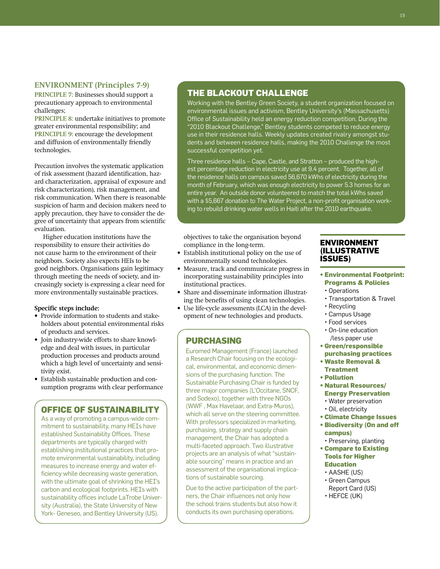## **ENViRoNMENt (Principles 7-9)**

**PRiNCiPLE 7:** Businesses should support a precautionary approach to environmental challenges;

**PRiNCiPLE 8:** undertake initiatives to promote greater environmental responsibility; and **PRINCIPLE 9:** encourage the development and diffusion of environmentally friendly technologies.

Precaution involves the systematic application of risk assessment (hazard identification, hazard characterization, appraisal of exposure and risk characterization), risk management, and risk communication. When there is reasonable suspicion of harm and decision makers need to apply precaution, they have to consider the degree of uncertainty that appears from scientific evaluation.

Higher education institutions have the responsibility to ensure their activities do not cause harm to the environment of their neighbors. Society also expects HEIs to be good neighbors. Organisations gain legitimacy through meeting the needs of society, and increasingly society is expressing a clear need for more environmentally sustainable practices.

#### **Specific steps include:**

- Provide information to students and stakeholders about potential environmental risks of products and services.
- Join industry-wide efforts to share knowledge and deal with issues, in particular production processes and products around which a high level of uncertainty and sensitivity exist.
- Establish sustainable production and consumption programs with clear performance

## **Office of Sustainability**

As a way of promoting a campus-wide commitment to sustainability, many HEIs have established Sustainability Offices. These departments are typically charged with establishing institutional practices that promote environmental sustainability, including measures to increase energy and water efficiency while decreasing waste generation, with the ultimate goal of shrinking the HEI's carbon and ecological footprints. HEIs with sustainability offices include LaTrobe University (Australia), the State University of New York- Geneseo, and Bentley University (US).

## **The Blackout Challenge**

Working with the Bentley Green Society, a student organization focused on environmental issues and activism, Bentley University's (Massachusetts) Office of Sustainability held an energy reduction competition. During the "2010 Blackout Challenge," Bentley students competed to reduce energy use in their residence halls. Weekly updates created rivalry amongst students and between residence halls, making the 2010 Challenge the most successful competition yet.

Three residence halls – Cape, Castle, and Stratton – produced the highest percentage reduction in electricity use at 9.4 percent. Together, all of the residence halls on campus saved 56,670 kWhs of electricity during the month of February, which was enough electricity to power 5.3 homes for an entire year. An outside donor volunteered to match the total kWhs saved with a \$5,667 donation to The Water Project, a non-profit organisation working to rebuild drinking water wells in Haiti after the 2010 earthquake.

objectives to take the organisation beyond compliance in the long-term.

- Establish institutional policy on the use of environmentally sound technologies.
- Measure, track and communicate progress in incorporating sustainability principles into institutional practices.
- Share and disseminate information illustrating the benefits of using clean technologies.
- Use life-cycle assessments (LCA) in the development of new technologies and products.

## **Purchasing**

Euromed Management (France) launched a Research Chair focusing on the ecological, environmental, and economic dimensions of the purchasing function. The Sustainable Purchasing Chair is funded by three major companies (L'Occitane, SNCF, and Sodexo), together with three NGOs (WWF , Max Havelaar, and Extra-Muros), which all serve on the steering committee. With professors specialized in marketing, purchasing, strategy and supply chain management, the Chair has adopted a multi-faceted approach. Two illustrative projects are an analysis of what "sustainable sourcing" means in practice and an assessment of the organisational implications of sustainable sourcing.

Due to the active participation of the partners, the Chair influences not only how the school trains students but also how it conducts its own purchasing operations.

## **Environment (Illustrative Issues)**

- **Environmental Footprint: Programs & Policies**
- Operations
- Transportation & Travel
- Recycling
- Campus Usage
- Food services
- On-line education /less paper use
- **Green/responsible purchasing practices**
- **Waste Removal & Treatment**
- **Pollution**
- **Natural Resources/ Energy Preservation**
	- Water preservation
	- Oil, electricity
- **Climate Change Issues**
- **Biodiversity (On and off campus)**
- Preserving, planting
- **Compare to Existing Tools for Higher Education**
- AASHE (US)
- Green Campus
- Report Card (US)
- HEFCE (UK)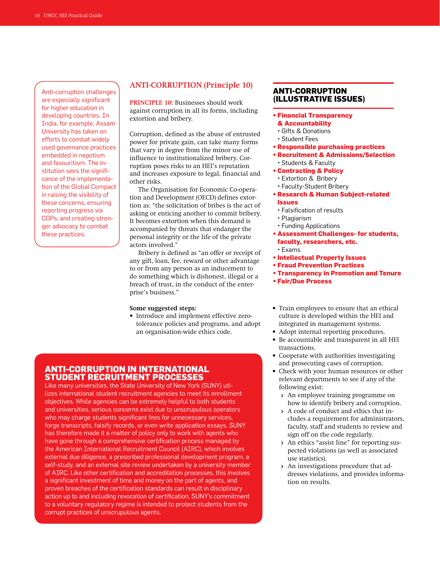Anti-corruption challenges are especially significant for higher education in developing countries. In India, for example, Assam University has taken on efforts to combat widely used governance practices embedded in nepotism and favouritism. The institution sees the significance of the implementation of the Global Compact in raising the visibility of these concerns, ensuring reporting progress via COPs, and creating stronger advocacy to combat these practices.

## **ANti-CoRRUPtioN (Principle 10)**

**PRiNCiPLE 10:** Businesses should work against corruption in all its forms, including extortion and bribery.

Corruption, defined as the abuse of entrusted power for private gain, can take many forms that vary in degree from the minor use of influence to institutionalized bribery. Corruption poses risks to an HEI's reputation and increases exposure to legal, financial and other risks.

The Organisation for Economic Co-operation and Development (OECD) defines extortion as: "the solicitation of bribes is the act of asking or enticing another to commit bribery. It becomes extortion when this demand is accompanied by threats that endanger the personal integrity or the life of the private actors involved."

Bribery is defined as "an offer or receipt of any gift, loan, fee, reward or other advantage to or from any person as an inducement to do something which is dishonest, illegal or a breach of trust, in the conduct of the enterprise's business."

**Some suggested steps:** 

• Introduce and implement effective zerotolerance policies and programs, and adopt an organisation-wide ethics code.

## **Anti-Corruption in International Student Recruitment Processes**

Like many universities, the State University of New York (SUNY) utilizes international student recruitment agencies to meet its enrollment objectives. While agencies can be extremely helpful to both students and universities, serious concerns exist due to unscrupulous operators who may charge students significant fees for unnecessary services, forge transcripts, falsify records, or even write application essays. SUNY has therefore made it a matter of policy only to work with agents who have gone through a comprehensive certification process managed by the American International Recruitment Council (AIRC), which involves external due diligence, a prescribed professional development program, a self-study, and an external site review undertaken by a university member of AIRC. Like other certification and accreditation processes, this involves a significant investment of time and money on the part of agents, and proven breaches of the certification standards can result in disciplinary action up to and including revocation of certification. SUNY's commitment to a voluntary regulatory regime is intended to protect students from the corrupt practices of unscrupulous agents.

## **Anti-Corruption (Illustrative Issues)**

- **Financial Transparency**
- **& Accountability**
- Gifts & Donations
- Student Fees
- **Responsible purchasing practices**
- **Recruitment & Admissions/Selection** • Students & Faculty
- **Contracting & Policy**
- Extortion & Bribery
- Faculty-Student Bribery
- **Research & Human Subject-related Issues**
	- Falsification of results
	- Plagiarism
	- Funding Applications
- **Assessment Challenges- for students, faculty, researchers, etc.**
	- Exams
- **Intellectual Property Issues**
- **Fraud Prevention Practices**
- **Transparency in Promotion and Tenure**
- **Fair/Due Process**
- Train employees to ensure that an ethical culture is developed within the HEI and integrated in management systems.
- Adopt internal reporting procedures.
- Be accountable and transparent in all HEI transactions.
- Cooperate with authorities investigating and prosecuting cases of corruption.
- Check with your human resources or other relevant departments to see if any of the following exist:
	- › An employee training programme on how to identify bribery and corruption.
	- › A code of conduct and ethics that includes a requirement for administrators, faculty, staff and students to review and sign off on the code regularly.
	- › An ethics "assist line" for reporting suspected violations (as well as associated use statistics).
	- › An investigations procedure that addresses violations, and provides information on results.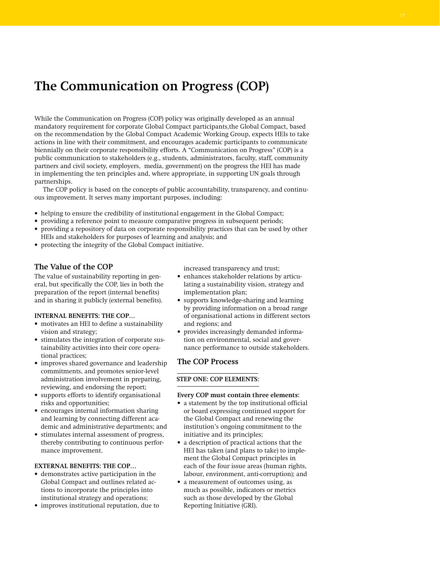# **The Communication on Progress (COP)**

While the Communication on Progress (COP) policy was originally developed as an annual mandatory requirement for corporate Global Compact participants,the Global Compact, based on the recommendation by the Global Compact Academic Working Group, expects HEIs to take actions in line with their commitment, and encourages academic participants to communicate biennially on their corporate responsibility efforts. A "Communication on Progress" (COP) is a public communication to stakeholders (e.g., students, administrators, faculty, staff, community partners and civil society, employers, media, government) on the progress the HEI has made in implementing the ten principles and, where appropriate, in supporting UN goals through partnerships.

The COP policy is based on the concepts of public accountability, transparency, and continuous improvement. It serves many important purposes, including:

- helping to ensure the credibility of institutional engagement in the Global Compact;
- providing a reference point to measure comparative progress in subsequent periods;
- providing a repository of data on corporate responsibility practices that can be used by other HEIs and stakeholders for purposes of learning and analysis; and
- protecting the integrity of the Global Compact initiative.

## **The Value of the COP**

The value of sustainability reporting in general, but specifically the COP, lies in both the preparation of the report (internal benefits) and in sharing it publicly (external benefits).

#### **iNtERNAL BENEFits: tHE CoP…**

- motivates an HEI to define a sustainability vision and strategy;
- stimulates the integration of corporate sustainability activities into their core operational practices;
- improves shared governance and leadership commitments, and promotes senior-level administration involvement in preparing, reviewing, and endorsing the report;
- supports efforts to identify organisational risks and opportunities;
- encourages internal information sharing and learning by connecting different academic and administrative departments; and
- stimulates internal assessment of progress, thereby contributing to continuous performance improvement.

#### **ExtERNAL BENEFits: tHE CoP…**

- demonstrates active participation in the Global Compact and outlines related actions to incorporate the principles into institutional strategy and operations;
- improves institutional reputation, due to

increased transparency and trust;

- enhances stakeholder relations by articulating a sustainability vision, strategy and implementation plan;
- supports knowledge-sharing and learning by providing information on a broad range of organisational actions in different sectors and regions; and
- provides increasingly demanded information on environmental, social and governance performance to outside stakeholders.

### **The COP Process**

#### **Step One: COP Elements:**

#### **Every COP must contain three elements:**

- a statement by the top institutional official or board expressing continued support for the Global Compact and renewing the institution's ongoing commitment to the initiative and its principles;
- a description of practical actions that the HEI has taken (and plans to take) to implement the Global Compact principles in each of the four issue areas (human rights, labour, environment, anti-corruption); and
- a measurement of outcomes using, as much as possible, indicators or metrics such as those developed by the Global Reporting Initiative (GRI).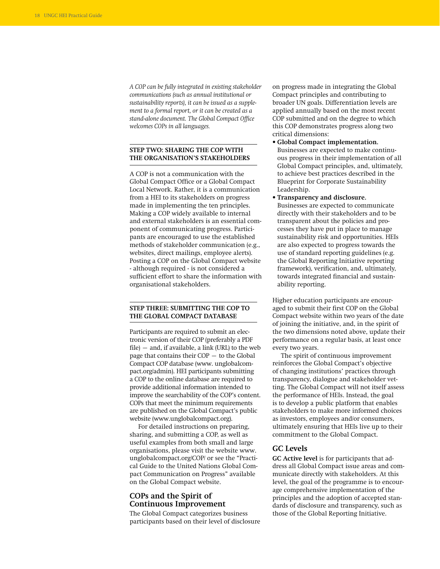*A COP can be fully integrated in existing stakeholder communications (such as annual institutional or sustainability reports), it can be issued as a supplement to a formal report, or it can be created as a stand-alone document. The Global Compact Office welcomes COPs in all languages.* 

### **stEP Two: sHARiNG tHE CoP WitH tHE Organisation's stAkEHoLDERs**

A COP is not a communication with the Global Compact Office or a Global Compact Local Network. Rather, it is a communication from a HEI to its stakeholders on progress made in implementing the ten principles. Making a COP widely available to internal and external stakeholders is an essential component of communicating progress. Participants are encouraged to use the established methods of stakeholder communication (e.g., websites, direct mailings, employee alerts). Posting a COP on the Global Compact website - although required - is not considered a sufficient effort to share the information with organisational stakeholders.

## **stEP Three: sUBMittiNG tHE CoP to** THE GLOBAL COMPACT DATABASE

Participants are required to submit an electronic version of their COP (preferably a PDF  $file$  – and, if available, a link (URL) to the web page that contains their COP – to the Global Compact COP database (www. unglobalcompact.org/admin). HEI participants submitting a COP to the online database are required to provide additional information intended to improve the searchability of the COP's content. COPs that meet the minimum requirements are published on the Global Compact's public website (www.unglobalcompact.org).

For detailed instructions on preparing, sharing, and submitting a COP, as well as useful examples from both small and large organisations, please visit the website www. unglobalcompact.org/COP/ or see the "Practical Guide to the United Nations Global Compact Communication on Progress" available on the Global Compact website.

## **COPs and the Spirit of Continuous Improvement**

The Global Compact categorizes business participants based on their level of disclosure on progress made in integrating the Global Compact principles and contributing to broader UN goals. Differentiation levels are applied annually based on the most recent COP submitted and on the degree to which this COP demonstrates progress along two critical dimensions:

- **Global Compact implementation.** Businesses are expected to make continuous progress in their implementation of all Global Compact principles, and, ultimately, to achieve best practices described in the Blueprint for Corporate Sustainability Leadership.
- **Transparency and disclosure.** Businesses are expected to communicate directly with their stakeholders and to be transparent about the policies and processes they have put in place to manage sustainability risk and opportunities. HEIs are also expected to progress towards the use of standard reporting guidelines (e.g. the Global Reporting Initiative reporting framework), verification, and, ultimately, towards integrated financial and sustainability reporting.

Higher education participants are encouraged to submit their first COP on the Global Compact website within two years of the date of joining the initiative, and, in the spirit of the two dimensions noted above, update their performance on a regular basis, at least once every two years.

The spirit of continuous improvement reinforces the Global Compact's objective of changing institutions' practices through transparency, dialogue and stakeholder vetting. The Global Compact will not itself assess the performance of HEIs. Instead, the goal is to develop a public platform that enables stakeholders to make more informed choices as investors, employees and/or consumers, ultimately ensuring that HEIs live up to their commitment to the Global Compact.

## **GC Levels**

**GC Active level** is for participants that address all Global Compact issue areas and communicate directly with stakeholders. At this level, the goal of the programme is to encourage comprehensive implementation of the principles and the adoption of accepted standards of disclosure and transparency, such as those of the Global Reporting Initiative.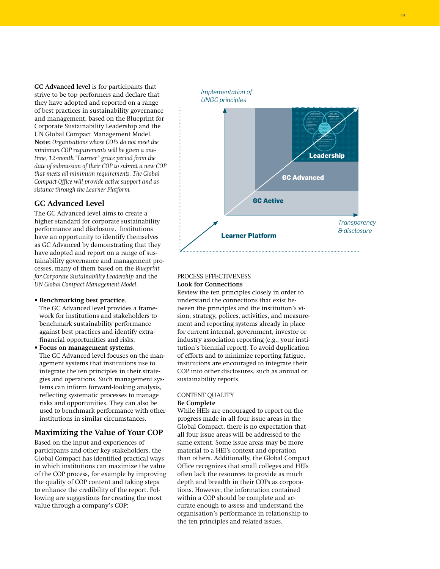19

**GC Advanced level** is for participants that strive to be top performers and declare that they have adopted and reported on a range of best practices in sustainability governance and management, based on the Blueprint for Corporate Sustainability Leadership and the UN Global Compact Management Model. **Note:** *Organisations whose COPs do not meet the minimum COP requirements will be given a onetime, 12-month "Learner" grace period from the date of submission of their COP to submit a new COP that meets all minimum requirements. The Global Compact Office will provide active support and assistance through the Learner Platform.*

## **GC Advanced Level**

The GC Advanced level aims to create a higher standard for corporate sustainability performance and disclosure. Institutions have an opportunity to identify themselves as GC Advanced by demonstrating that they have adopted and report on a range of sustainability governance and management processes, many of them based on the *Blueprint for Corporate Sustainability Leadership* and the *UN Global Compact Management Model*.

**• Benchmarking best practice**.

The GC Advanced level provides a framework for institutions and stakeholders to benchmark sustainability performance against best practices and identify extrafinancial opportunities and risks.

**• Focus on management systems**. The GC Advanced level focuses on the management systems that institutions use to integrate the ten principles in their strategies and operations. Such management systems can inform forward-looking analysis, reflecting systematic processes to manage risks and opportunities. They can also be used to benchmark performance with other institutions in similar circumstances.

## **Maximizing the Value of Your COP**

Based on the input and experiences of participants and other key stakeholders, the Global Compact has identified practical ways in which institutions can maximize the value of the COP process, for example by improving the quality of COP content and taking steps to enhance the credibility of the report. Following are suggestions for creating the most value through a company's COP:



## Process Effectiveness **Look for Connections**

Review the ten principles closely in order to understand the connections that exist between the principles and the institution's vision, strategy, polices, activities, and measurement and reporting systems already in place for current internal, government, investor or industry association reporting (e.g., your institution's biennial report). To avoid duplication of efforts and to minimize reporting fatigue, institutions are encouraged to integrate their COP into other disclosures, such as annual or sustainability reports.

## CONTENT QUALITY

## **Be Complete**

While HEIs are encouraged to report on the progress made in all four issue areas in the Global Compact, there is no expectation that all four issue areas will be addressed to the same extent. Some issue areas may be more material to a HEI's context and operation than others. Additionally, the Global Compact Office recognizes that small colleges and HEIs often lack the resources to provide as much depth and breadth in their COPs as corporations. However, the information contained within a COP should be complete and accurate enough to assess and understand the organisation's performance in relationship to the ten principles and related issues.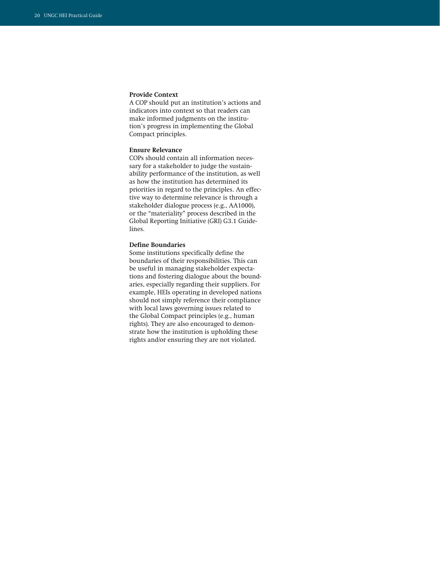#### **Provide Context**

A COP should put an institution's actions and indicators into context so that readers can make informed judgments on the institution's progress in implementing the Global Compact principles.

### **Ensure Relevance**

COPs should contain all information necessary for a stakeholder to judge the sustainability performance of the institution, as well as how the institution has determined its priorities in regard to the principles. An effective way to determine relevance is through a stakeholder dialogue process (e.g., AA1000), or the "materiality" process described in the Global Reporting Initiative (GRI) G3.1 Guidelines.

#### **Define Boundaries**

Some institutions specifically define the boundaries of their responsibilities. This can be useful in managing stakeholder expectations and fostering dialogue about the boundaries, especially regarding their suppliers. For example, HEIs operating in developed nations should not simply reference their compliance with local laws governing issues related to the Global Compact principles (e.g., human rights). They are also encouraged to demonstrate how the institution is upholding these rights and/or ensuring they are not violated.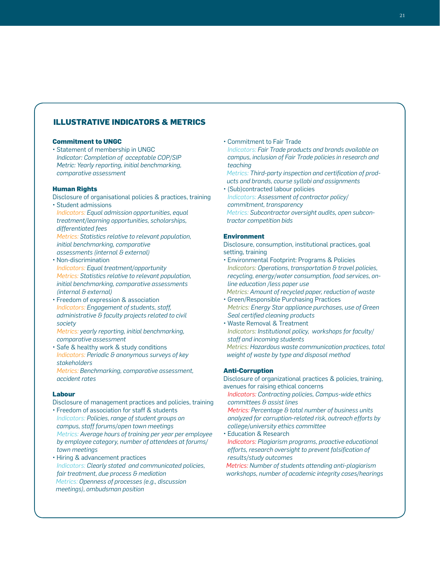## **Illustrative Indicators & Metrics**

#### **Commitment to UNGC**

• Statement of membership in UNGC *Indicator: Completion of acceptable COP/SIP Metric: Yearly reporting, initial benchmarking, comparative assessment*

### **Human Rights**

- Disclosure of organisational policies & practices, training
- Student admissions *Indicators: Equal admission opportunities, equal treatment/learning opportunities, scholarships, differentiated fees Metrics: Statistics relative to relevant population, initial benchmarking, comparative*
- *assessments (internal & external)*
- Non-discrimination *Indicators: Equal treatment/opportunity Metrics: Statistics relative to relevant population, initial benchmarking, comparative assessments (internal & external)*
- Freedom of expression & association *Indicators: Engagement of students, staff, administrative & faculty projects related to civil society*
- *Metrics: yearly reporting, initial benchmarking, comparative assessment*
- Safe & healthy work & study conditions *Indicators: Periodic & anonymous surveys of key stakeholders*
- *Metrics: Benchmarking, comparative assessment, accident rates*

### **Labour**

- Disclosure of management practices and policies, training
- Freedom of association for staff & students *Indicators: Policies, range of student groups on campus, staff forums/open town meetings Metrics: Average hours of training per year per employee by employee category, number of attendees at forums/ town meetings*
- Hiring & advancement practices *Indicators: Clearly stated and communicated policies, fair treatment, due process & mediation Metrics: Openness of processes (e.g., discussion meetings), ombudsman position*

• Commitment to Fair Trade

*Indicators: Fair Trade products and brands available on campus, inclusion of Fair Trade policies in research and teaching* 

 *Metrics: Third-party inspection and certification of products and brands, course syllabi and assignments*

• (Sub)contracted labour policies *Indicators: Assessment of contractor policy/ commitment, transparency Metrics: Subcontractor oversight audits, open subcontractor competition bids*

## **Environment**

Disclosure, consumption, institutional practices, goal setting, training

• Environmental Footprint: Programs & Policies *Indicators: Operations, transportation & travel policies, recycling, energy/water consumption, food services, online education /less paper use*

 *Metrics: Amount of recycled paper, reduction of waste*

- Green/Responsible Purchasing Practices *Metrics: Energy Star appliance purchases, use of Green Seal certified cleaning products*
- Waste Removal & Treatment *Indicators: Institutional policy, workshops for faculty/ staff and incoming students Metrics: Hazardous waste communication practices, total*

*weight of waste by type and disposal method*

### **Anti-Corruption**

Disclosure of organizational practices & policies, training, avenues for raising ethical concerns

 *Indicators: Contracting policies, Campus-wide ethics committees & assist lines*

 *Metrics: Percentage & total number of business units analyzed for corruption-related risk, outreach efforts by college/university ethics committee*

• Education & Research *Indicators: Plagiarism programs, proactive educational efforts, research oversight to prevent falsification of results/study outcomes*

 *Metrics: Number of students attending anti-plagiarism workshops, number of academic integrity cases/hearings*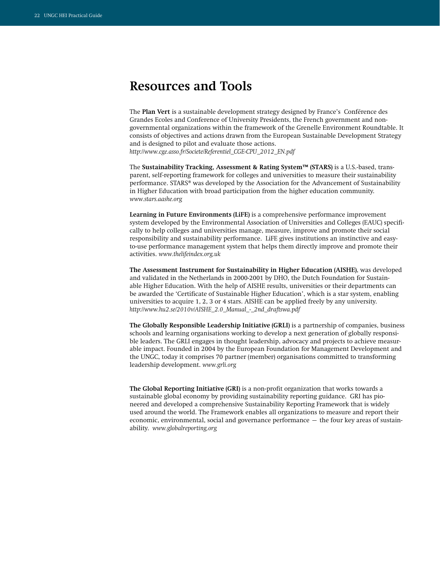# **Resources and Tools**

The **Plan Vert** is a sustainable development strategy designed by France's Conférence des Grandes Ecoles and Conference of University Presidents, the French government and nongovernmental organizations within the framework of the Grenelle Environment Roundtable. It consists of objectives and actions drawn from the European Sustainable Development Strategy and is designed to pilot and evaluate those actions. *http://www.cge.asso.fr/Societe/Referentiel\_CGE-CPU\_2012\_EN.pdf* 

The **Sustainability Tracking, Assessment & Rating System™ (STARS)** is a U.S.-based, transparent, self-reporting framework for colleges and universities to measure their sustainability performance. STARS® was developed by the Association for the Advancement of Sustainability in Higher Education with broad participation from the higher education community. *www.stars.aashe.org* 

**Learning in Future Environments (LiFE)** is a comprehensive performance improvement system developed by the Environmental Association of Universities and Colleges (EAUC) specifically to help colleges and universities manage, measure, improve and promote their social responsibility and sustainability performance. LiFE gives institutions an instinctive and easyto-use performance management system that helps them directly improve and promote their activities. *www.thelifeindex.org.uk* 

**The Assessment Instrument for Sustainability in Higher Education (AISHE)**, was developed and validated in the Netherlands in 2000-2001 by DHO, the Dutch Foundation for Sustainable Higher Education. With the help of AISHE results, universities or their departments can be awarded the 'Certificate of Sustainable Higher Education', which is a star system, enabling universities to acquire 1, 2, 3 or 4 stars. AISHE can be applied freely by any university. *http://www.hu2.se/2010v/AISHE\_2.0\_Manual\_-\_2nd\_draftswa.pdf* 

**The Globally Responsible Leadership Initiative (GRLI)** is a partnership of companies, business schools and learning organisations working to develop a next generation of globally responsible leaders. The GRLI engages in thought leadership, advocacy and projects to achieve measurable impact. Founded in 2004 by the European Foundation for Management Development and the UNGC, today it comprises 70 partner (member) organisations committed to transforming leadership development. *www.grli.org*

**The Global Reporting Initiative (GRI)** is a non-profit organization that works towards a sustainable global economy by providing sustainability reporting guidance. GRI has pioneered and developed a comprehensive Sustainability Reporting Framework that is widely used around the world. The Framework enables all organizations to measure and report their economic, environmental, social and governance performance – the four key areas of sustainability. *www.globalreporting.org*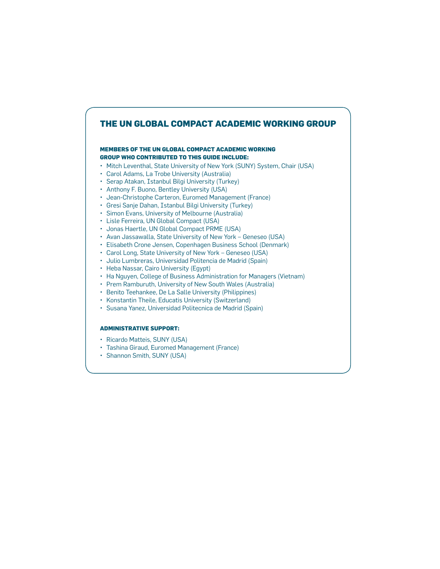# **The Un Global Compact Academic Working Group**

### **Members of the UN Global Compact Academic Working Group who contributed to this guide include:**

- Mitch Leventhal, State University of New York (SUNY) System, Chair (USA)
- • Carol Adams, La Trobe University (Australia)
- • Serap Atakan, Istanbul Bilgi University (Turkey)
- Anthony F. Buono, Bentley University (USA)
- • Jean-Christophe Carteron, Euromed Management (France)
- • Gresi Sanje Dahan, Istanbul Bilgi University (Turkey)
- • Simon Evans, University of Melbourne (Australia)
- • Lisle Ferreira, UN Global Compact (USA)
- • Jonas Haertle, UN Global Compact PRME (USA)
- Avan Jassawalla, State University of New York Geneseo (USA)
- Elisabeth Crone Jensen, Copenhagen Business School (Denmark)
- • Carol Long, State University of New York Geneseo (USA)
- • Julio Lumbreras, Universidad Politencia de Madrid (Spain)
- • Heba Nassar, Cairo University (Egypt)
- Ha Nguyen, College of Business Administration for Managers (Vietnam)
- Prem Ramburuth, University of New South Wales (Australia)
- • Benito Teehankee, De La Salle University (Philippines)
- • Konstantin Theile, Educatis University (Switzerland)
- • Susana Yanez, Universidad Politecnica de Madrid (Spain)

## **Administrative support:**

- Ricardo Matteis, SUNY (USA)
- • Tashina Giraud, Euromed Management (France)
- Shannon Smith, SUNY (USA)